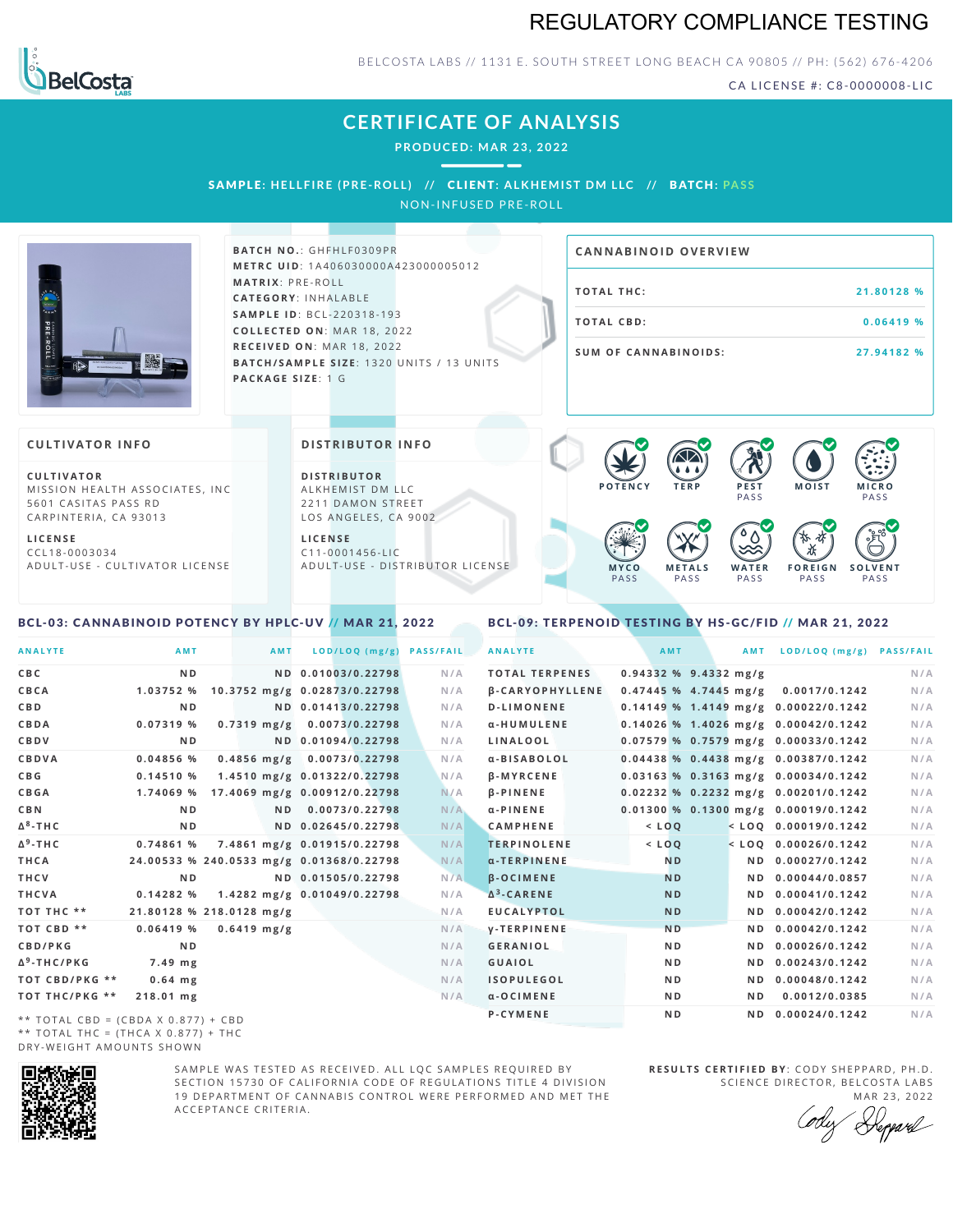## REGULATORY COMPLIANCE TESTING



BELCOSTA LABS // 1131 E. SOUTH STREET LONG BEACH CA 90805 // PH: (562) 676-4206

CA LICENSE #: C8-0000008-LIC

## **CERTIFICATE OF ANALYSIS**

**PRODUCED: MA R 23, 2022**

SAMPLE: HELLFIRE (PRE-ROLL) // CLIENT: ALKHEMIST DM LLC // BATCH: PASS NON-INFUSED PRE-ROLL

**BATCH NO.: GHFHLF0309PR M E T R C U ID** :1 A 4 0 6 0 3 0 0 0 0 A 4 2 3 0 0 0 0 0 5 0 1 2 **M AT R I X** :P R E - R O L L **CAT E G O R Y** : I N H A L A B L E **SA M P L E I D** :B C L - 2 2 0 3 1 8 - 1 9 3  $COLLECTED ON: MAR 18, 2022$ **R E C E I V E D O N** : M A R 1 8 ,2 0 2 2 **BATCH/SAMPLE SIZE:** 1320 UNITS / 13 UNITS **PAC KA G E S I Z E** : 1 G **COTAL THC: EXECUTE: EXECUTE: EXECUTE: EXECUTE: EXECUTE: EXECUTE: EXECUTE: EXECUTE: EXECUTE: EXECUTE: EXECUTE: EXECUTE: EXECUTE: EXECUTE: EXECUTE: EXECUTE: EXECUTE: EXECUTE: EXECUTE: T O TAL CB D :0 . 0 6 4 1 9 % S U M O F CA N N ABI N O I D S : 2 7 . 9 4 1 8 2 % CA N N ABI N OID OVERVI EW C U L T I VAT O R** MISSION HEALTH ASSOCIATES, INC. 5601 CASITAS PASS RD CARPINTERIA, CA 93013 **CULTIVATOR I N FO D I S T R IB U T O R** ALKHEMIST DM LLC 2211 DAMON STREET **DI STRIBUTOR I N FO P O T E N C Y T E R P P E S T** PA S S **M O IS T M IC R O PASS**  $\bullet$  60 60 60 60  $\bullet$  0.0 0.0 0.0

**L I C E N S E** C C L 1 8 - 0 0 0 3 0 3 4 A D U L T - U S E - C U L T I V A T O R L I C E N S E

<span id="page-0-0"></span>BCL-03: CANNABINOID POTENCY BY HPLC-UV // MAR 21, 2022

LOS ANGELES, CA 9002

**L I C E N S E**  $C$  1 1 - 0 0 0 1 4 5 6 - L I C A D U L T - U S E - D I STRI B U T O R LICENSE

#### PA S S PA S S PA S S PA S S PA S S

**W A T E R**

**F O R E I G N**

祇

**S O L V E N T**

<span id="page-0-1"></span>BCL-09: TERPENOID TESTING BY HS-GC/FID // MAR 21, 2022

**M E T A L S**

**M Y C O**

| <b>ANALYTE</b>                      | AMT                                      | <b>AMT</b>    |                                | LOD/LOQ (mg/g) PASS/FAIL | <b>ANALYTE</b>      |                               | AMT                     |     | AMT LOD/LOQ (mg/g) PASS/FAIL               |     |
|-------------------------------------|------------------------------------------|---------------|--------------------------------|--------------------------|---------------------|-------------------------------|-------------------------|-----|--------------------------------------------|-----|
| C B C                               | N <sub>D</sub>                           |               | ND 0.01003/0.22798             | N/A                      |                     | <b>TOTAL TERPENES</b>         | $0.94332$ % 9.4332 mg/g |     |                                            | N/A |
| CBCA                                | 1.03752 %                                |               | 10.3752 mg/g 0.02873/0.22798   | N/A                      |                     | <b><i>B-CARYOPHYLLENE</i></b> |                         |     | $0.47445$ % 4.7445 mg/g 0.0017/0.1242      | N/A |
| C B D                               | N <sub>D</sub>                           |               | ND 0.01413/0.22798             | N/A                      | <b>D-LIMONENE</b>   |                               |                         |     | $0.14149$ % 1.4149 mg/g $0.00022/0.1242$   | N/A |
| CBDA                                | 0.07319 %                                |               | $0.7319$ mg/g $0.0073/0.22798$ | N/A                      | α-HUMULENE          |                               |                         |     | 0.14026 % 1.4026 mg/g 0.00042/0.1242       | N/A |
| CBDV                                | N <sub>D</sub>                           |               | ND 0.01094/0.22798             | N/A                      | LINALOOL            |                               |                         |     | 0.07579 % 0.7579 mg/g 0.00033/0.1242       | N/A |
| CBDVA                               | 0.04856%                                 |               | 0.4856 mg/g 0.0073/0.22798     | N/A                      | α-BISABOLOL         |                               |                         |     | $0.04438$ % $0.4438$ mg/g $0.00387/0.1242$ | N/A |
| C B G                               | 0.14510%                                 |               | 1.4510 mg/g 0.01322/0.22798    | N/A                      | <b>B-MYRCENE</b>    |                               |                         |     | $0.03163$ % 0.3163 mg/g 0.00034/0.1242     | N/A |
| CBGA                                | 1.74069 %                                |               | 17.4069 mg/g 0.00912/0.22798   | N/A                      | <b>B-PINENE</b>     |                               |                         |     | $0.02232$ % 0.2232 mg/g 0.00201/0.1242     | N/A |
| C B N                               | N <sub>D</sub>                           |               | ND 0.0073/0.22798              | N/A                      | $\alpha$ -PINENE    |                               |                         |     | $0.01300 %$ 0.1300 mg/g 0.00019/0.1242     | N/A |
| Δ <sup>8</sup> -ΤΗC                 | N <sub>D</sub>                           |               | ND 0.02645/0.22798             | N/A                      | <b>CAMPHENE</b>     |                               | $<$ LOQ                 |     | $<$ LOQ 0.00019/0.1242                     | N/A |
| Δ <sup>9</sup> -ΤΗ C                | 0.74861 %                                |               | 7.4861 mg/g 0.01915/0.22798    | N/A                      |                     | <b>TERPINOLENE</b>            | $<$ LOQ                 |     | $<$ LOO 0.00026/0.1242                     | N/A |
| THCA                                | 24.00533 % 240.0533 mg/g 0.01368/0.22798 |               |                                | N/A                      | $\alpha$ -TERPINENE |                               | N <sub>D</sub>          |     | ND 0.00027/0.1242                          | N/A |
| THCV                                | N <sub>D</sub>                           |               | ND 0.01505/0.22798             | N/A                      | <b>B-OCIMENE</b>    |                               | <b>ND</b>               |     | ND 0.00044/0.0857                          | N/A |
| THCVA                               | 0.14282%                                 |               | 1.4282 mg/g 0.01049/0.22798    | N/A                      | $\Delta^3$ -CARENE  |                               | <b>ND</b>               |     | ND 0.00041/0.1242                          | N/A |
| тот тнс **                          | 21.80128 % 218.0128 mg/g                 |               |                                | N/A                      | <b>EUCALYPTOL</b>   |                               | <b>ND</b>               |     | ND 0.00042/0.1242                          | N/A |
| TOT CBD **                          | $0.06419$ %                              | $0.6419$ mg/g |                                | N/A                      | <b>V-TERPINENE</b>  |                               | N <sub>D</sub>          |     | ND 0.00042/0.1242                          | N/A |
| CBD/PKG                             | N <sub>D</sub>                           |               |                                | N/A                      | <b>GERANIOL</b>     |                               | N <sub>D</sub>          |     | ND 0.00026/0.1242                          | N/A |
| Δ <sup>9</sup> -THC/PKG             | 7.49 mg                                  |               |                                | N/A                      | <b>GUAIOL</b>       |                               | N <sub>D</sub>          |     | ND 0.00243/0.1242                          | N/A |
| ТОТ СВD/РКG **                      | $0.64$ mg                                |               |                                | N/A                      | <b>ISOPULEGOL</b>   |                               | N <sub>D</sub>          | N D | 0.00048/0.1242                             | N/A |
| ТОТ ТНС/РКG **                      | 218.01 mg                                |               |                                | N/A                      | $\alpha$ -OCIMENE   |                               | N <sub>D</sub>          | N D | 0.0012/0.0385                              | N/A |
| ** TOTAL CBD = (CBDA X 0.877) + CBD |                                          |               |                                |                          | P-CYMENE            |                               | N <sub>D</sub>          |     | ND 0.00024/0.1242                          | N/A |
|                                     |                                          |               |                                |                          |                     |                               |                         |     |                                            |     |

\*\* TOTAL CBD =  $(CBDA X 0.877) + CBD$ \*\* TOTAL THC =  $(THCA X 0.877) + THC$ DRY-WEIGHT AMOUNTS SHOWN



SAMPLE WAS TESTED AS RECEIVED. ALL LOC SAMPLES REQUIRED BY SECTION 15730 OF CALIFORNIA CODE OF REGULATIONS TITLE 4 DIVISION 19 DEPARTMENT OF CANNABIS CONTROL WERE PERFORMED AND MET THE A C C E P T A N C E C R I T E R I A .

**R E S U L T S C E R T I F I E D BY** : C O D Y S H E P P A R D ,P H .D . SCIENCE DIRECTOR, BELCOSTA LABS

MAR 23, 2022 Repard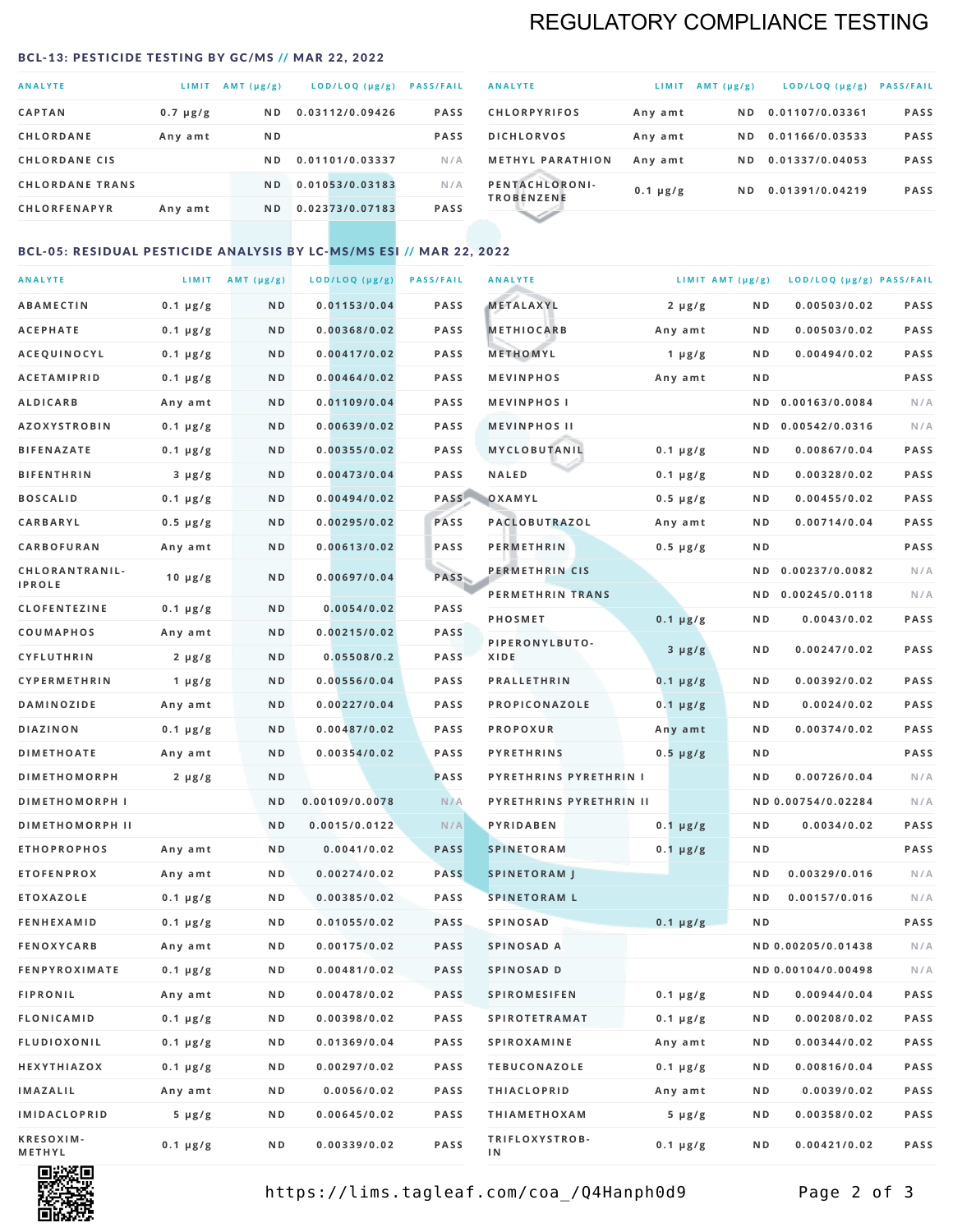# REGULATORY COMPLIANCE TESTING

### <span id="page-1-0"></span>BCL-13: PESTICIDE TESTING BY GC/MS // MAR 22, 2022

| <b>ANALYTE</b>         | LIMIT         | AMT $(\mu g/g)$ | LOD/LOQ (µg/g)  | <b>PASS/FAIL</b> |
|------------------------|---------------|-----------------|-----------------|------------------|
| <b>CAPTAN</b>          | $0.7 \mu g/g$ | ND.             | 0.03112/0.09426 | <b>PASS</b>      |
| <b>CHLORDANE</b>       | Any amt       | N <sub>D</sub>  |                 | <b>PASS</b>      |
| <b>CHLORDANE CIS</b>   |               | ND.             | 0.01101/0.03337 | N/A              |
| <b>CHLORDANE TRANS</b> |               | N <sub>D</sub>  | 0.01053/0.03183 | N/A              |
| <b>CHLORFENAPYR</b>    | Any amt       | N <sub>D</sub>  | 0.02373/0.07183 | <b>PASS</b>      |

| <b>ANALYTE</b>                      | LIMIT         | AMT $(\mu g/g)$ | $LOD/LOQ$ ( $\mu g/g$ ) | <b>PASS/FAIL</b> |
|-------------------------------------|---------------|-----------------|-------------------------|------------------|
| <b>CHLORPYRIFOS</b>                 | Any amt       | N D             | 0.01107/0.03361         | <b>PASS</b>      |
| <b>DICHLORVOS</b>                   | Any amt       | ND.             | 0.01166/0.03533         | <b>PASS</b>      |
| <b>METHYL PARATHION</b>             | Any amt       | ND.             | 0.01337/0.04053         | <b>PASS</b>      |
| PENTACHLORONI-<br><b>TROBENZENE</b> | $0.1 \mu g/g$ | ND.             | 0.01391/0.04219         | <b>PASS</b>      |
|                                     |               |                 |                         |                  |

## BCL-05: RESIDUAL PESTICIDE ANALYSIS BY LC-MS/MS ESI // MAR 22, 2022

| <b>ANALYTE</b>             |               | LIMIT $AMT (\mu g/g)$ | LOD/LOQ (µg/g) | <b>PASS/FAIL</b> | <b>ANALYTE</b>          |               | LIMIT AMT $(\mu g/g)$ | LOD/LOQ (µg/g) PASS/FAIL |             |
|----------------------------|---------------|-----------------------|----------------|------------------|-------------------------|---------------|-----------------------|--------------------------|-------------|
| ABAMECTIN                  | $0.1 \mu g/g$ | ND                    | 0.01153/0.04   | <b>PASS</b>      | METALAXYL               | $2 \mu g/g$   | N D                   | 0.00503/0.02             | <b>PASS</b> |
| <b>ACEPHATE</b>            | $0.1 \mu g/g$ | N D                   | 0.00368/0.02   | <b>PASS</b>      | <b>METHIOCARB</b>       | Any amt       | N D                   | 0.00503/0.02             | PASS        |
| <b>ACEQUINOCYL</b>         | $0.1 \mu g/g$ | N D                   | 0.00417/0.02   | <b>PASS</b>      | METHOMYL                | 1 $\mu$ g/g   | N D                   | 0.00494/0.02             | PASS        |
| <b>ACETAMIPRID</b>         | $0.1 \mu g/g$ | N D                   | 0.00464/0.02   | <b>PASS</b>      | <b>MEVINPHOS</b>        | Any amt       | N D                   |                          | PASS        |
| <b>ALDICARB</b>            | Any amt       | N D                   | 0.01109/0.04   | <b>PASS</b>      | <b>MEVINPHOSI</b>       |               | N D                   | 0.00163/0.0084           | N/A         |
| <b>AZOXYSTROBIN</b>        | $0.1 \mu g/g$ | N D                   | 0.00639/0.02   | <b>PASS</b>      | <b>MEVINPHOS II</b>     |               | N D                   | 0.00542/0.0316           | N/A         |
| <b>BIFENAZATE</b>          | $0.1 \mu g/g$ | N D                   | 0.00355/0.02   | <b>PASS</b>      | MYCLOBUTANIL            | $0.1 \mu g/g$ | N D                   | 0.00867/0.04             | PASS        |
| <b>BIFENTHRIN</b>          | $3 \mu g/g$   | ND                    | 0.00473/0.04   | <b>PASS</b>      | <b>NALED</b>            | $0.1 \mu g/g$ | N D                   | 0.00328/0.02             | PASS        |
| <b>BOSCALID</b>            | $0.1 \mu g/g$ | N D                   | 0.00494/0.02   | PASS             | OXAMYL                  | $0.5 \mu g/g$ | N D                   | 0.00455/0.02             | <b>PASS</b> |
| <b>CARBARYL</b>            | $0.5 \mu g/g$ | ND                    | 0.00295/0.02   | PASS             | PACLOBUTRAZOL           | Any amt       | N D                   | 0.00714/0.04             | PASS        |
| CARBOFURAN                 | Any amt       | N D                   | 0.00613/0.02   | <b>PASS</b>      | <b>PERMETHRIN</b>       | $0.5 \mu g/g$ | N D                   |                          | PASS        |
| CHLORANTRANIL-             | $10 \mu g/g$  | N D                   | 0.00697/0.04   | PASS             | PERMETHRIN CIS          |               | N D                   | 0.00237/0.0082           | N/A         |
| <b>IPROLE</b>              |               |                       |                |                  | PERMETHRIN TRANS        |               | N D                   | 0.00245/0.0118           | N/A         |
| <b>CLOFENTEZINE</b>        | $0.1 \mu g/g$ | N D                   | 0.0054/0.02    | <b>PASS</b>      | PHOSMET                 | $0.1 \mu g/g$ | N D                   | 0.0043/0.02              | PASS        |
| COUMAPHOS                  | Any amt       | N D                   | 0.00215/0.02   | <b>PASS</b>      | PIPERONYLBUTO-          | $3 \mu g/g$   | N D                   | 0.00247/0.02             | PASS        |
| <b>CYFLUTHRIN</b>          | $2 \mu g/g$   | N D                   | 0.05508/0.2    | <b>PASS</b>      | XIDE                    |               |                       |                          |             |
| <b>CYPERMETHRIN</b>        | 1 $\mu$ g/g   | ND                    | 0.00556/0.04   | <b>PASS</b>      | <b>PRALLETHRIN</b>      | $0.1 \mu g/g$ | N D                   | 0.00392/0.02             | PASS        |
| <b>DAMINOZIDE</b>          | Any amt       | N D                   | 0.00227/0.04   | <b>PASS</b>      | PROPICONAZOLE           | $0.1 \mu g/g$ | N D                   | 0.0024/0.02              | PASS        |
| <b>DIAZINON</b>            | $0.1 \mu g/g$ | N D                   | 0.00487/0.02   | <b>PASS</b>      | <b>PROPOXUR</b>         | Any amt       | N D                   | 0.00374/0.02             | PASS        |
| <b>DIMETHOATE</b>          | Any amt       | N D                   | 0.00354/0.02   | <b>PASS</b>      | <b>PYRETHRINS</b>       | $0.5 \mu g/g$ | N D                   |                          | PASS        |
| <b>DIMETHOMORPH</b>        | $2 \mu g/g$   | N D                   |                | <b>PASS</b>      | PYRETHRINS PYRETHRIN I  |               | ND                    | 0.00726/0.04             | N/A         |
| <b>DIMETHOMORPH I</b>      |               | N D                   | 0.00109/0.0078 | N/A              | PYRETHRINS PYRETHRIN II |               |                       | ND 0.00754/0.02284       | N/A         |
| <b>DIMETHOMORPH II</b>     |               | ND                    | 0.0015/0.0122  | N/A              | PYRIDABEN               | $0.1 \mu g/g$ | N D                   | 0.0034/0.02              | <b>PASS</b> |
| <b>ETHOPROPHOS</b>         | Any amt       | N D                   | 0.0041/0.02    | <b>PASS</b>      | <b>SPINETORAM</b>       | $0.1 \mu g/g$ | N D                   |                          | PASS        |
| <b>ETOFENPROX</b>          | Any amt       | N D                   | 0.00274/0.02   | <b>PASS</b>      | <b>SPINETORAM J</b>     |               | N D                   | 0.00329/0.016            | N/A         |
| <b>ETOXAZOLE</b>           | $0.1 \mu g/g$ | N D                   | 0.00385/0.02   | <b>PASS</b>      | <b>SPINETORAM L</b>     |               | ND                    | 0.00157/0.016            | N/A         |
| <b>FENHEXAMID</b>          | $0.1 \mu g/g$ | N D                   | 0.01055/0.02   | <b>PASS</b>      | <b>SPINOSAD</b>         | $0.1 \mu g/g$ | ND                    |                          | PASS        |
| <b>FENOXYCARB</b>          | Any amt       | N D                   | 0.00175/0.02   | <b>PASS</b>      | SPINOSAD A              |               |                       | ND 0.00205/0.01438       | N/A         |
| <b>FENPYROXIMATE</b>       | $0.1 \mu g/g$ | N D                   | 0.00481/0.02   | <b>PASS</b>      | SPINOSAD D              |               |                       | ND 0.00104/0.00498       | N/A         |
| <b>FIPRONIL</b>            | Any amt       | N D                   | 0.00478/0.02   | <b>PASS</b>      | <b>SPIROMESIFEN</b>     | $0.1 \mu g/g$ | N D                   | 0.00944/0.04             | PASS        |
| FLONICAMID                 | $0.1 \mu g/g$ | N D                   | 0.00398/0.02   | PASS             | <b>SPIROTETRAMAT</b>    | $0.1 \mu g/g$ | N D                   | 0.00208/0.02             | PASS        |
| <b>FLUDIOXONIL</b>         | $0.1 \mu g/g$ | N D                   | 0.01369/0.04   | PASS             | <b>SPIROXAMINE</b>      | Any amt       | N D                   | 0.00344/0.02             | PASS        |
| HEXYTHIAZOX                | $0.1 \mu g/g$ | N D                   | 0.00297/0.02   | PASS             | <b>TEBUCONAZOLE</b>     | $0.1 \mu g/g$ | N D                   | 0.00816/0.04             | PASS        |
| IMAZALIL                   | Any amt       | N D                   | 0.0056/0.02    | PASS             | <b>THIACLOPRID</b>      | Any amt       | N D                   | 0.0039/0.02              | PASS        |
| IMIDACLOPRID               | $5 \mu g/g$   | N D                   | 0.00645/0.02   | PASS             | <b>THIAMETHOXAM</b>     | $5 \mu g/g$   | N D                   | 0.00358/0.02             | PASS        |
| <b>KRESOXIM-</b><br>METHYL | $0.1 \mu g/g$ | N D                   | 0.00339/0.02   | PASS             | TRIFLOXYSTROB-<br>IN.   | $0.1 \mu g/g$ | N D                   | 0.00421/0.02             | PASS        |